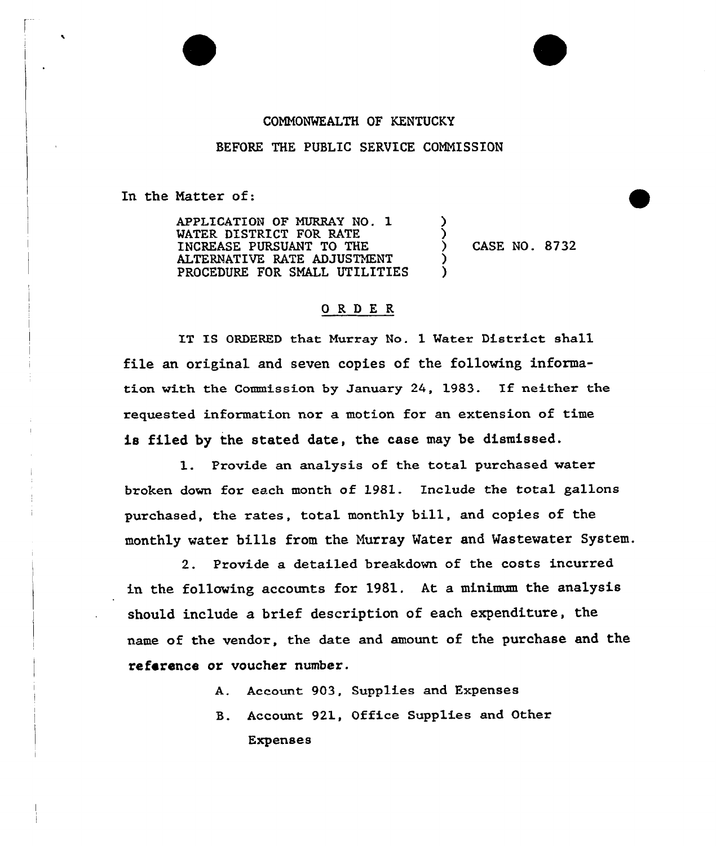## COMMONWEALTH OF KENTUCKY

BEFORE THE PUBLIC SERVICE COMMISSION

In the Natter of:

APPLICATION OF MURRAY NO. 1 MATER DISTRICT FOR RATE INCREASE PURSUANT TO THE ALTERNATIVE RATE ADJUSTMENT PROCEDURE FOR SMALL UTILITIES ) ز<br>> ) CASE NO. 8732 ) )

## ORDER

IT IS ORDERED that Murray No. 1 Mater District shall file an original and seven copies of the following information with the Commission by January 24, 1983. If neither the requested information nor a motion for an extension of time is filed by the stated date, the case may be dismissed.

1. Provide an analysis of the total purchased water broken down for each month of l981. Include the total gallons purchased, the rates, total monthly bill, and copies of the monthly water bills from the Murray Water and Wastewater System.

2. Provide a detailed breakdown of the costs incurred in the following accounts for 1981. At a minimum the analysis should include a brief description of each expenditure, the name of the vendor, the date and amount of the purchase and the reference or voucher number.

- A. Account. 903, Supplies and Expenses
- B. Account 921, Office Supplies and Other Expenses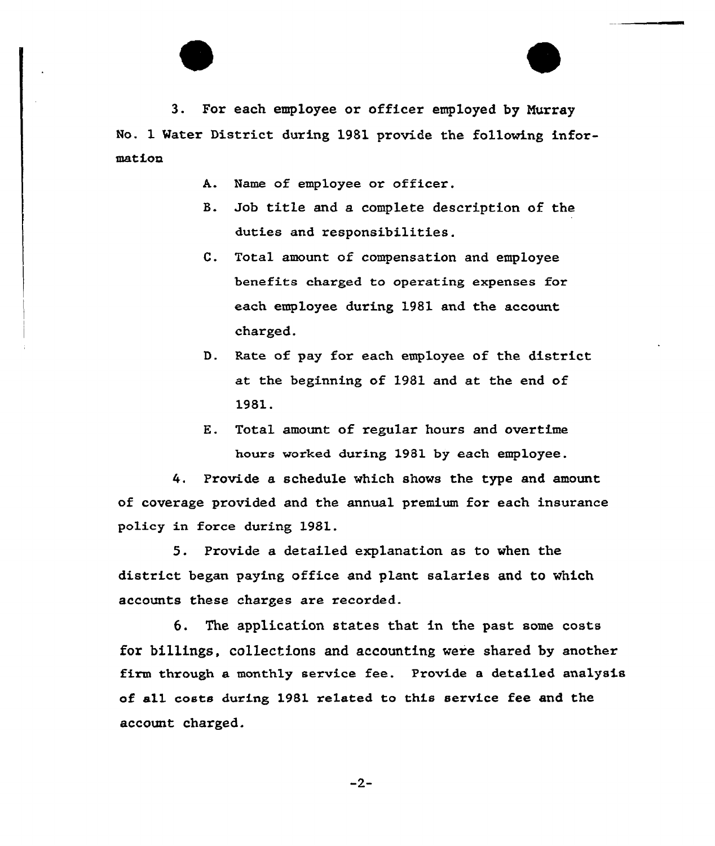

- A. Name of employee or officer.
- B. Job title and a complete description of the duties and responsibilities.
- C. Total amount of compensation and employee benefits charged to operating expenses for each employee during 1981 and the account charged.
- D. Rate of pay for each employee of the district at the beginning of 1981 and at the end of 1981.
- E. Total amount of regular hours and overtime hours worked during 1981 by each employee.

4. Provide a schedule which shows the type and amount of coverage provided and the annual premium for each insurance policy in force during 1981.

5. Provide a detailed explanation as to when the district began paying office and plant salaries and to which accounts these charges are recorded.

6. The application states that in the past some costs for billings, collections and accounting vere shared by another firm through a monthly service fee. Provide a detailed analysis of all costs during 1981 related to this service fee and the account charged.

 $-2-$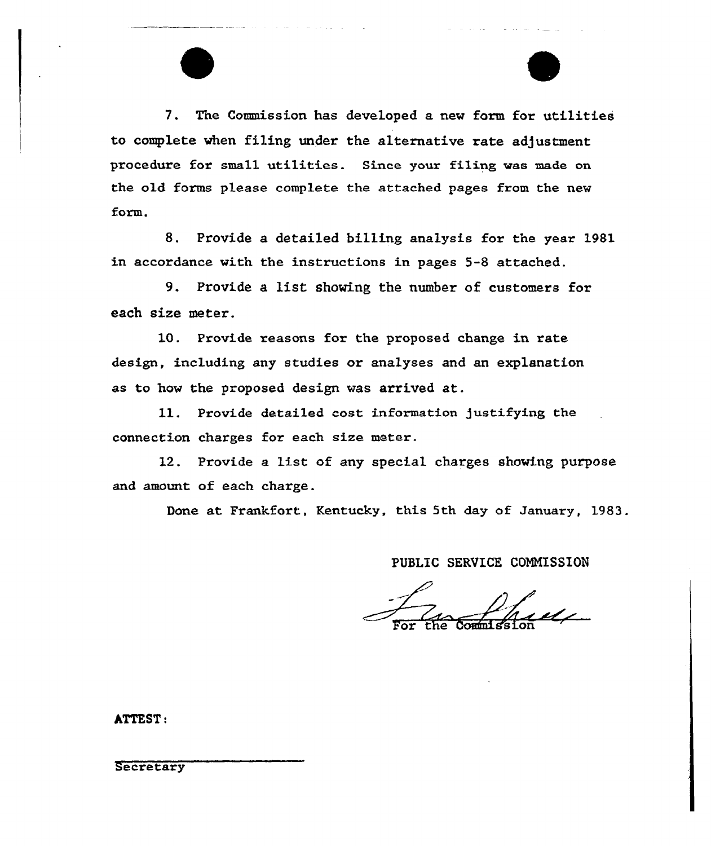7. The Commission has developed a new form for utilities to complete when filing under the alternative rate adjustment procedure for small utilities. Since your filing was made on the old forms please complete the attached pages from the new form.

8. Provide a detailed billing analysis for the year 1981 in accordance with the instructions in pages 5-8 attached.

9. Provide a list showing the number of customers for each size metex.

10. Provide reasons for the proposed change in rate design, including any studies or analyses and an explanation as to how the proposed design was arrived at.

ll. Provide detailed cost information justifying the connection charges for each size metex.

12. Provide a list of any special charges showing purpose and amount of each charge.

Done at Frankfort, Kentucky, this 5th day of January, 1983.

PUBLIC SERVICE CONNISSION

For the Commissio

hTTEST:

**Secretary**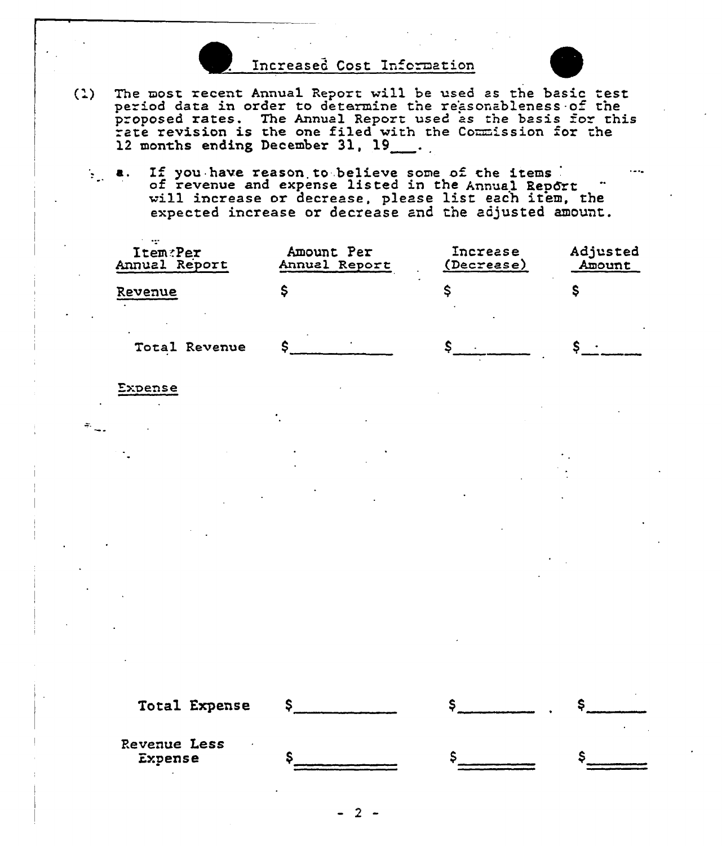Increased Cost Information



- $(1)$ The most recent Annual Report will be used as the basic test period data in order to determine the reasonableness of the proposed rates. The Annual Report used as the basis for this "proposed rates. The Annual Report used as the basis for this<br>"rate revision is the one filed with the Commission for the rate revision is the one filed with the Commission for the 12 months ending December 31, 19
	- a. If you have reason to believe some of the items of revenue and expense listed in the Annual Report  $\ddot{ }$  will increase or decrease, please list each item, the expected increase or decrease and the adjusted amount.

| Item:Per<br>Annual Report | Amount Per<br>Annual Report | Increase<br>(Decrease) | Adjusted<br>Amount |
|---------------------------|-----------------------------|------------------------|--------------------|
| Revenue                   |                             |                        |                    |
| Total Revenue             |                             |                        |                    |

Expense

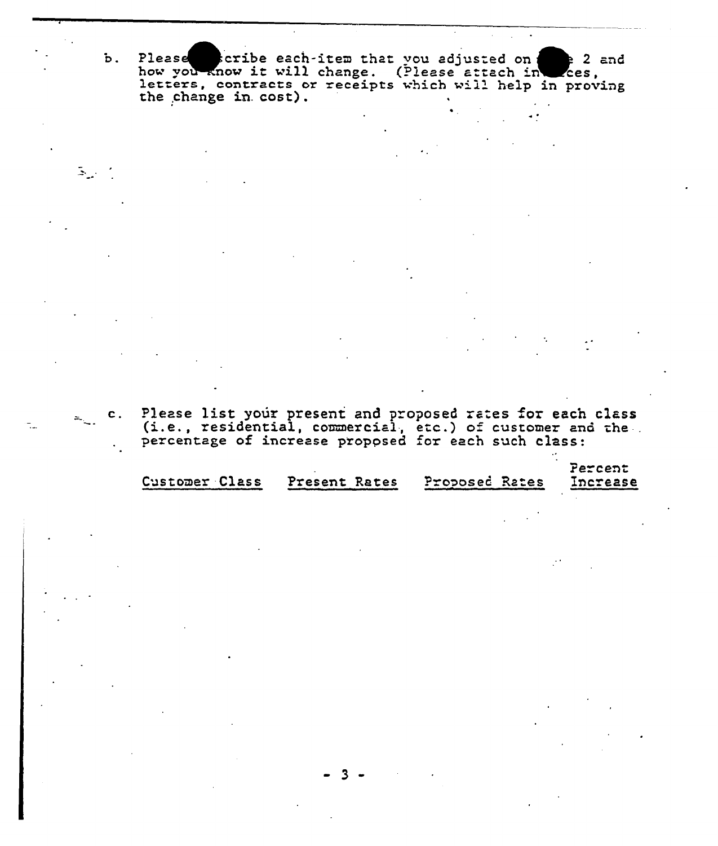Please scribe each-item that you adjusted on the you know it will change. (Please attach in  $2$  and Zces, letters, contracts or receipts which will help in proving the change in cost).

 $\mathbf{b}$ .

 $c.$ 

 $\mathbb{R}_{\omega^*}$ 

Please list your present and proposed rates for each class (i.e., residential, commercial, etc.) of customer and the

|                |               |                | Percent  |
|----------------|---------------|----------------|----------|
| Customer Class | Present Rates | Proposed Rates | Increase |
|                |               |                |          |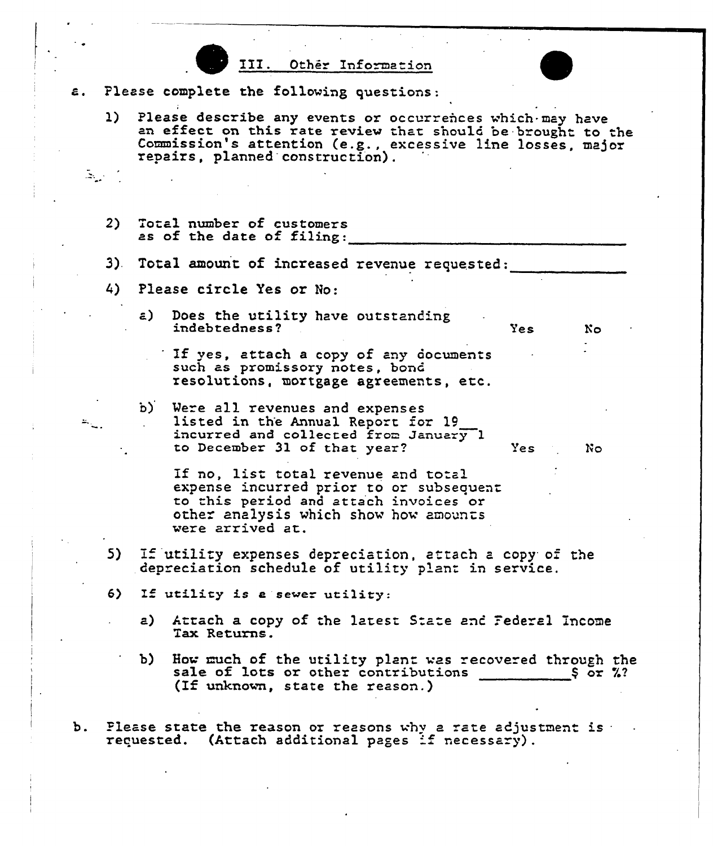



- Please complete the following questions: ε.
	- 1) Please describe any events or occurrences which may have<br>an effect on this rate review that should be brought to the Commission's attention (e.g., excessive line losses, major repairs, planned construction).
	- 2) Total number of customers as of the date of filing:

 $\Delta \omega_{\rm{eff}}$ 

- 3). Total amount of increased revenue requested:
- 4) Please circle Yes or No:
	- a) Does the utility have outstanding indebtedness?<br>indebtedness? No
		- If yes, attach a copy of any documents such as promissory notes, bond resolutions, mortgage agreements, etc.
	- b) Were all revenues and expenses<br>listed in the Annual Report for 19 incurred and collected from January  $1$ to December 31 of that year? Yes ? No

If no, list total revenue and total expense incurred prior to or subsequent to this period and attach invoices or other analysis which show how amounts were arrived at.

- 5) If utility expenses depreciation, attach a copy of the depreciation schedule of utility plant in service.
- 6) Zf utility is <sup>e</sup> sewer utility:
	- a) Attach a copy of the latest State and Federal Income Tax Returns.
	- b) How much of the utility plant was recovered through the sale of lots or other contributions  $\frac{1}{1}$  or %?
- b. Please state the reason or reasons why a rate adjustment is requested. (Attach additional pages if necessary).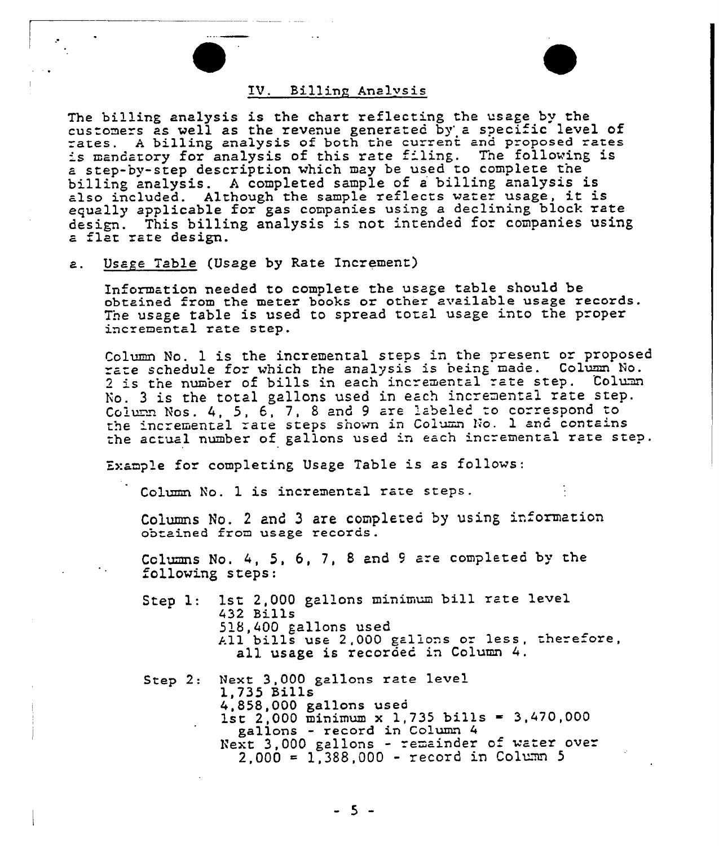## IV. Billing Analvsis

The billing analysis is the chart reflecting the usage by the customers as well as the revenue generated by a specific level of "ates. A billing analysis of both the current and proposed rates is mandatory for analysis of this rate filing. The following is step-by-step description which may be used to complete the billing analysis. <sup>A</sup> completed sample of <sup>a</sup> billing analysis is also included. Although the sample reflects water usage, it is equally applicable for gas companies using <sup>a</sup> declining block rate design. This billing analysis is not intended for companies using<br>a flat rate design.

a. Usage Table (Usage by Rate Increment)

Information needed to complete the usage table should be obtained from the meter books or other available usage records. The usage table is used to spread total usage into the proper incremental rate step.

Column No. 1 is the incremental steps in the present or proposed rate schedule for which the analysis is being made. Column No. 2 is the number of bills in each incremental rate step. Column Vo. <sup>3</sup> is the total gallons used in each incremental rate step. Column Nos. 4, 5, 6, 7, 8 and 9 are labeled to correspond to the incremental rate steps shown in Column No. 1 and contains the actual number of gallons used in each incremental rate step.

Example for completing Usage Table is as follows:

Column No. 1 is incremental rate steps.

Columns No. 2 and 3 are completed by using information ob ained from usage records .

Columns No. 4, 5, 6, 7, 8 and 9 are completed by the following steps:

Step 1: 1st 2,000 gallons minimum bill rate level 432 Bills 518,400 gallons used All bills use 2,000 gallons or less, therefore,<br>all usage is recorded in Column 4.

Step 2: Next 3,000 gallons rate level 1,735 Bills 4,858,000 gallons used 1st 2,000 minimum x 1,735 bills = 3,470,000 gallons - record in Column 4 Next 3,000 gallons - remainder of water over  $2,000 = 1,388,000 - record in Column 5$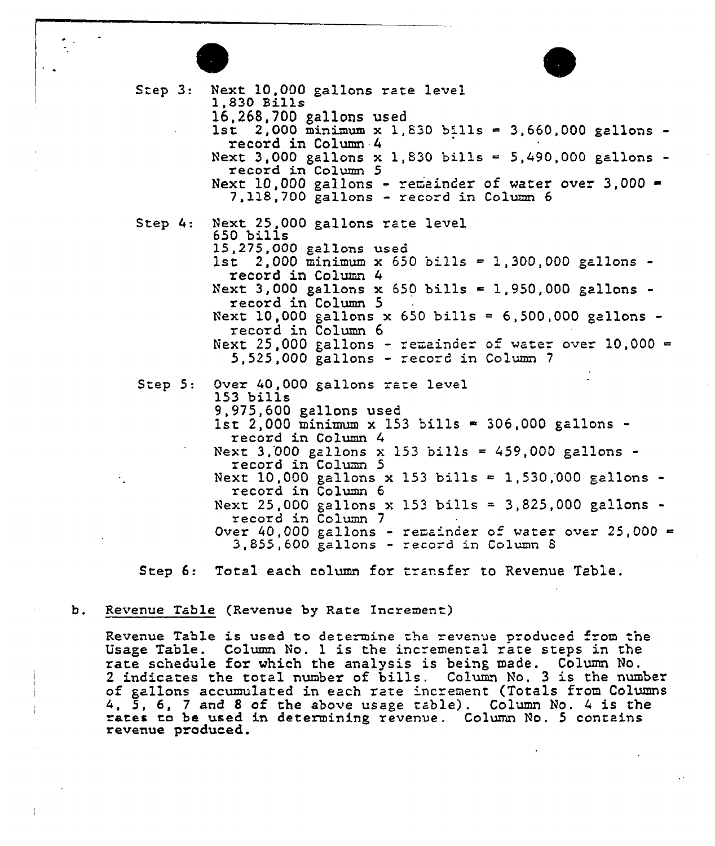

Step 3: Step  $4:$ Step 5: Next 10,000 gallons rate level<br>1,830 Bills<br>16.268.700 gallons used 1st 2,000 minimum x 1,830 bills = 3,660,000 gallons record in Column 4 Next 3,000 gallons x 1,830 bills = 5,490,000 gallons record in Column 5 Next 10,000 gallons - remainder of water over 3,000 =<br>7,118,700 gallons - record in Column 6 Next 25,000 gallons rate level 650 bills 15,275,0QQ gallons used 1st 2.000 minimum x 650 bills = 1,300,000 gallons record in Column 4 Next 3,000 gallons  $x$  650 bills = 1,950,000 gallons record in Column 5 Next 10,000 gallons x 650 bills = 6,500,000 gallons record in Column 6 Next 25,000 gallons - remainder of water over  $10,000 =$ 5,525,000 gallons - ecord in Colunm <sup>7</sup> Over 40, 000 gallons rate level 153 bills 9,975,600 gallons used  $1$ st 2,000 minimum x 153 bills = 306,000 gallons record in Column Next 3,000 gallons x 153 bills = 459,000 gallons record in Column 5 Next 10,000 gallons x 153 bills = 1,530,000 gallons record in Column 6 Next 25,000 gallons x 153 bills = 3,825,000 gallons record in Column 7 Over 40,000 gallons - remainder of water over 25,000 = 3, 855, 600 gallons - record in Column <sup>8</sup>

Step 6: Total each column for transfer to Revenue Table

## b. Revenue Table (Revenue by Rate Increment)

Revenue Table is used to determine the revenue produced from the Usage Table. Column No. <sup>1</sup> is the incremental rate steps in the rate schedule for which the analysis is being made. Column No. <sup>2</sup> indicates the total number of bills. Column Ho. <sup>3</sup> is the number of ga11ons accumulated in each rate increment (Totals from Columns 4, 5, 6, <sup>7</sup> and <sup>8</sup> of the above usage table}. Column No. <sup>4</sup> is the ates to be used in determining revenue. Column No. 5 contain revenue produced.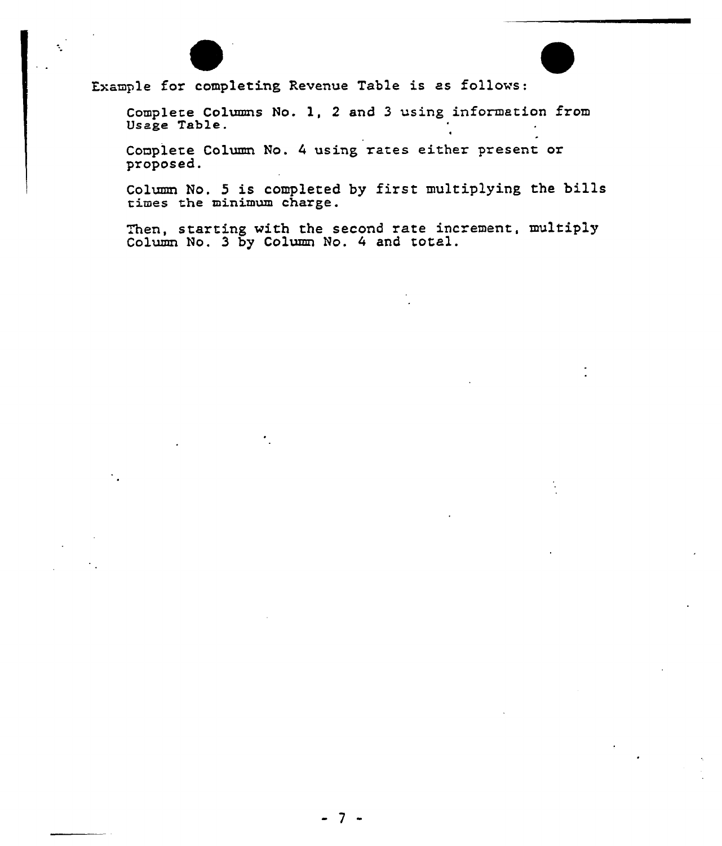

Example for completing Revenue Table is as follows:

Complete Columns No. 1, <sup>2</sup> and 3 using information from Usage Table.

Complete Column No. 4 using rates either present or proposed.

Column No. 5 is completed by first multiplying the bills times the minimum charge.

Then, starting with the second rate increment, multipl Column No. 3 by Column No. <sup>4</sup> and total.